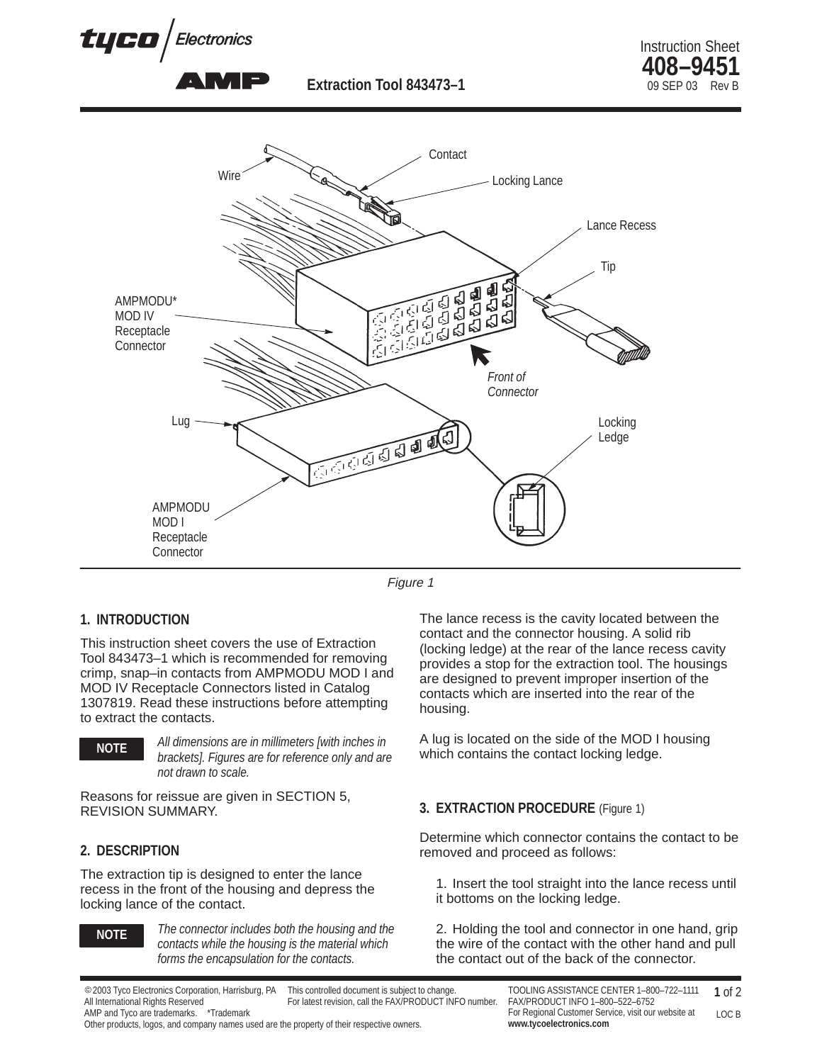

**Extraction Tool 843473-1** 





Figure 1

## **1. INTRODUCTION**

This instruction sheet covers the use of Extraction Tool 843473–1 which is recommended for removing crimp, snap–in contacts from AMPMODU MOD I and MOD IV Receptacle Connectors listed in Catalog 1307819. Read these instructions before attempting to extract the contacts.



*All dimensions are in millimeters [with inches in brackets]. Figures are for reference only and are not drawn to scale.*

Reasons for reissue are given in SECTION 5, REVISION SUMMARY.

### **2. DESCRIPTION**

The extraction tip is designed to enter the lance recess in the front of the housing and depress the locking lance of the contact.



*The connector includes both the housing and the contacts while the housing is the material which forms the encapsulation for the contacts.*

The lance recess is the cavity located between the contact and the connector housing. A solid rib (locking ledge) at the rear of the lance recess cavity provides a stop for the extraction tool. The housings are designed to prevent improper insertion of the contacts which are inserted into the rear of the housing.

A lug is located on the side of the MOD I housing which contains the contact locking ledge.

## **3. EXTRACTION PROCEDURE** (Figure 1)

Determine which connector contains the contact to be removed and proceed as follows:

1. Insert the tool straight into the lance recess until it bottoms on the locking ledge.

2. Holding the tool and connector in one hand, grip the wire of the contact with the other hand and pull the contact out of the back of the connector.

Other products, logos, and company names used are the property of their respective owners.

<sup>2003</sup> Tyco Electronics Corporation, Harrisburg, PA All International Rights Reserved AMP and Tyco are trademarks. \*Trademark This controlled document is subject to change. For latest revision, call the FAX/PRODUCT INFO number.